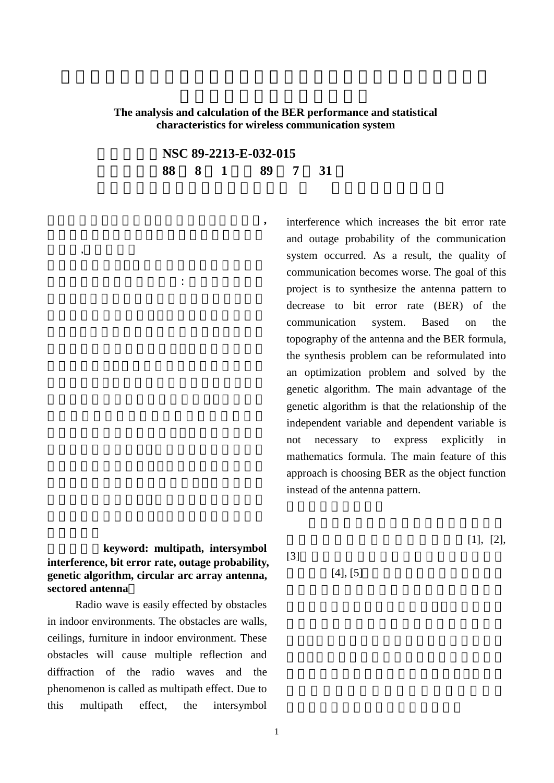## **The analysis and calculation of the BER performance and statistical characteristics for wireless communication system**

計劃編號 **NSC 89-2213-E-032-015** 執行期間 **88 8 1** 日至 **89 7 31**

> interference which increases the bit error rate and outage probability of the communication system occurred. As a result, the quality of communication becomes worse. The goal of this project is to synthesize the antenna pattern to decrease to bit error rate (BER) of the communication system. Based on the topography of the antenna and the BER formula, the synthesis problem can be reformulated into an optimization problem and solved by the genetic algorithm. The main advantage of the genetic algorithm is that the relationship of the independent variable and dependent variable is not necessary to express explicitly in mathematics formula. The main feature of this approach is choosing BER as the object function instead of the antenna pattern.

keyword: multipath, intersymbol **interference, bit error rate, outage probability, genetic algorithm, circular arc array antenna, sectored antenna**

中文摘要(關鍵字 多重路徑 符元干擾**,**

,

 $\,$ ,  $\,$ ,  $\,$ ,  $\,$ ,  $\,$ ,  $\,$ ,  $\,$ ,  $\,$ ,  $\,$ ,  $\,$ ,  $\,$ ,  $\,$ ,  $\,$ ,  $\,$ ,  $\,$ ,  $\,$ ,  $\,$ ,  $\,$ ,  $\,$ ,  $\,$ ,  $\,$ ,  $\,$ ,  $\,$ ,  $\,$ ,  $\,$ ,  $\,$ ,  $\,$ ,  $\,$ ,  $\,$ ,  $\,$ ,  $\,$ ,  $\,$ ,  $\,$ ,  $\,$ ,  $\,$ ,  $\,$ ,  $\,$ ,

 Radio wave is easily effected by obstacles in indoor environments. The obstacles are walls, ceilings, furniture in indoor environment. These obstacles will cause multiple reflection and diffraction of the radio waves and the phenomenon is called as multipath effect. Due to this multipath effect, the intersymbol

 $[1], [2],$ 

 $[3]$ 

## $[4], [5]$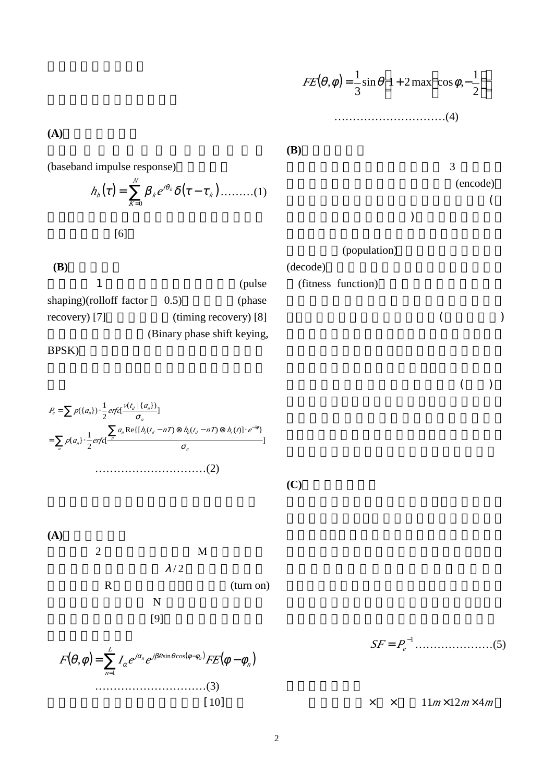(baseband impulse response)

 $h_{\rho}(t) = \sum_{K=0} S_{\kappa} e^{i_{\kappa} \kappa} u(t - t_{\kappa})$  $=\sum_{k=1}^{N} S_{k}e^{i_{k}k}u(t)$ *K k i*  $h_{\rho}(t) = \sum_{k} S_{k} e^{i k}$ 0  $f$  $f$   $f$  $f$   $f$  $f$   $f$  $f$   $f$  $f$   $f$  $f$   $f$  $f$   $f$  $f$   $f$  $f$   $f$  $f$   $f$  $f$   $f$  $f$   $f$  $f$   $f$  $f$   $f$  $f$   $f$  $f$   $f$  $f$   $f$  $f$   $f$  $f$   $f$  $f$   $f$  $f$   $f$  $f$   $f$  $f$   $f$  $f$   $f$  $[6]$ 

**(B)**系統方塊圖 1 (pulse shaping)(rolloff factor  $0.5$ ) (phase recovery) [7] (timing recovery) [8] (Binary phase shift keying,

BPSK)

**(A)**通道特性的計算







## $J(x, w) = \frac{1}{3} \sin x \left[ 1 + 2 \max \cos w, -\frac{1}{2} \right]$ IJ ا۱  $\mathsf{I}$ L I  $\overline{1}$  $\overline{a}$ I l  $=\frac{1}{2} \sin (1 + 2 \cos (x)) - \cos (x)$ 2  $\sin\left(1+2\max\right)\cos\left(\frac{1}{2}\right)$ 3  $FE({}, \psi) = \frac{1}{2} \sin \left| 1 + 2 \max \right| \cos \psi,$ … … … … … … … … … … (4)

**(B)** 

**(C)**適應函數的定義

 $3 \rightarrow \frac{3}{2}$ (encode)  $\overline{a}$ 每一字串代表一個參數值)。接著根據問題的

(population)

(decode) (fitness function)

, and the contract of  $($ 

and the contract of the contract of the contract of the contract of the contract of the contract of the contract of the contract of the contract of the contract of the contract of the contract of the contract of the contr

−1 *SF* = *<sup>P</sup><sup>e</sup>* … … … … … … … (5)

考慮一個長× × 高為11*m*×12*m*× 4*<sup>m</sup>*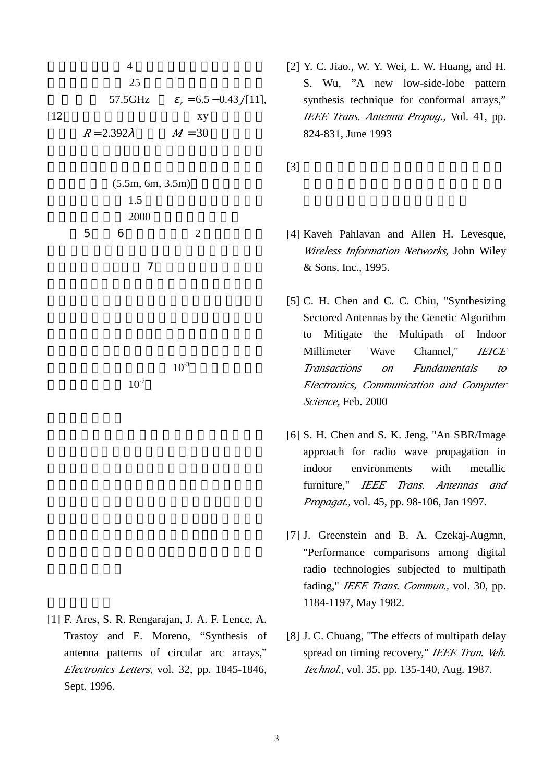$4$  $25$  $57.5\text{GHz}$   $V_r = 6.5 - 0.43j[11],$  $[12]$  xy  $R = 2.392 \,$ *i*  $M = 30$ 

$$
(5.5m, 6m, 3.5m)
$$
  
1.5  
2000  
5 6 2

 $\overline{7}$ 

 $10^{-7}$ 

 $10^{-3}$ 

[1] F. Ares, S. R. Rengarajan, J. A. F. Lence, A. Trastoy and E. Moreno, "Synthesis of antenna patterns of circular arc arrays," *Electronics Letters,* vol. 32, pp. 1845-1846, Sept. 1996.

[2] Y. C. Jiao., W. Y. Wei, L. W. Huang, and H. S. Wu, "A new low-side-lobe pattern synthesis technique for conformal arrays," *IEEE Trans. Antenna Propag.,* Vol. 41, pp. 824-831, June 1993

 $[3]$ 

- [4] Kaveh Pahlavan and Allen H. Levesque, *Wireless Information Networks,* John Wiley & Sons, Inc., 1995.
- [5] C. H. Chen and C. C. Chiu, "Synthesizing Sectored Antennas by the Genetic Algorithm to Mitigate the Multipath of Indoor Millimeter Wave Channel," *IEICE Transactions on Fundamentals to Electronics, Communication and Computer Science,* Feb. 2000
- [6] S. H. Chen and S. K. Jeng, "An SBR/Image approach for radio wave propagation in indoor environments with metallic furniture," *IEEE Trans. Antennas and Propagat.,* vol. 45, pp. 98-106, Jan 1997.
- [7] J. Greenstein and B. A. Czekaj-Augmn, "Performance comparisons among digital radio technologies subjected to multipath fading," *IEEE Trans. Commun.,* vol. 30, pp. 1184-1197, May 1982.
- [8] J. C. Chuang, "The effects of multipath delay spread on timing recovery," *IEEE Tran. Veh. Technol*., vol. 35, pp. 135-140, Aug. 1987.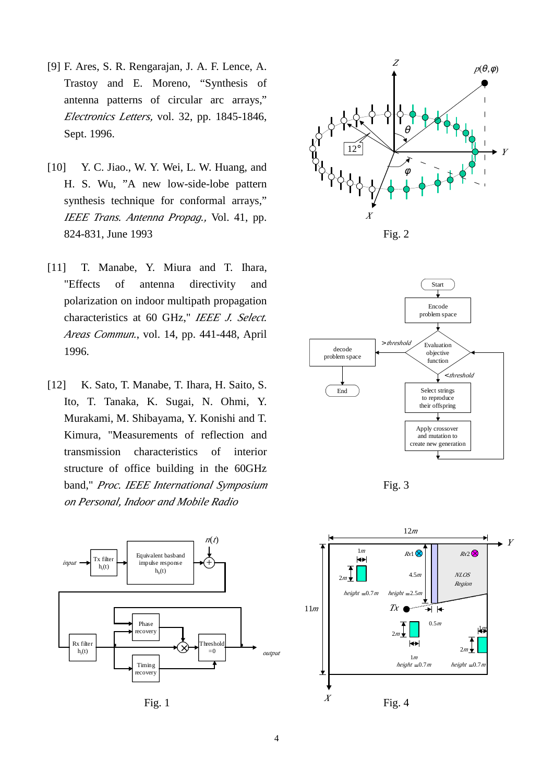- [9] F. Ares, S. R. Rengarajan, J. A. F. Lence, A. Trastoy and E. Moreno, "Synthesis of antenna patterns of circular arc arrays," *Electronics Letters,* vol. 32, pp. 1845-1846, Sept. 1996.
- [10] Y. C. Jiao., W. Y. Wei, L. W. Huang, and H. S. Wu, "A new low-side-lobe pattern synthesis technique for conformal arrays," *IEEE Trans. Antenna Propag.,* Vol. 41, pp. 824-831, June 1993
- [11] T. Manabe, Y. Miura and T. Ihara, "Effects of antenna directivity and polarization on indoor multipath propagation characteristics at 60 GHz," *IEEE J. Select. Areas Commun.*, vol. 14, pp. 441-448, April 1996.
- [12] K. Sato, T. Manabe, T. Ihara, H. Saito, S. Ito, T. Tanaka, K. Sugai, N. Ohmi, Y. Murakami, M. Shibayama, Y. Konishi and T. Kimura, "Measurements of reflection and transmission characteristics of interior structure of office building in the 60GHz band," *Proc. IEEE International Symposium on Personal, Indoor and Mobile Radio*



Fig. 1





Fig. 3